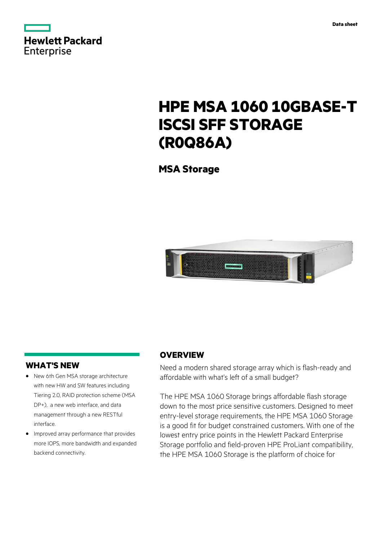

# **HPE MSA 1060 10GBASE-T ISCSI SFF STORAGE (R0Q86A)**

**MSA Storage**



# **WHAT'S NEW**

- **·** New 6th Gen MSA storage architecture with new HW and SW features including Tiering 2.0, RAID protection scheme (MSA DP+), a new web interface, and data management through a new RESTful interface.
- **·** Improved array performance that provides more IOPS, more bandwidth and expanded backend connectivity.

# **OVERVIEW**

Need a modern shared storage array which is flash-ready and affordable with what's left of a small budget?

The HPE MSA 1060 Storage brings affordable flash storage down to the most price sensitive customers. Designed to meet entry-level storage requirements, the HPE MSA 1060 Storage is a good fit for budget constrained customers. With one of the lowest entry price points in the Hewlett Packard Enterprise Storage portfolio and field-proven HPE ProLiant compatibility, the HPE MSA 1060 Storage is the platform of choice for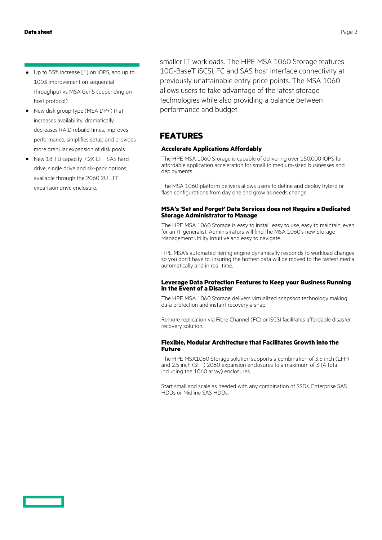- **·** Up to 55% increase [1] on IOPS, and up to 100% improvement on sequential throughput vs MSA Gen5 (depending on host protocol).
- **·** New disk group type (MSA DP+) that increases availability, dramatically decreases RAID rebuild times, improves performance, simplifies setup and provides more granular expansion of disk pools.
- **·** New 18 TB capacity 7.2K LFF SAS hard drive, single drive and six-pack options, available through the 2060 2U LFF expansion drive enclosure.

smaller IT workloads. The HPE MSA 1060 Storage features 10G-BaseT iSCSI, FC and SAS host interface connectivity at previously unattainable entry price points. The MSA 1060 allows users to take advantage of the latest storage technologies while also providing a balance between performance and budget.

# **FEATURES**

### **Accelerate Applications Affordably**

The HPE MSA 1060 Storage is capable of delivering over 150,000 IOPS for affordable application acceleration for small to medium-sized businesses and deployments.

The MSA 1060 platform delivers allows users to define and deploy hybrid or flash configurations from day one and grow as needs change.

#### **MSA's 'Set and Forget' Data Services does not Require a Dedicated Storage Administrator to Manage**

The HPE MSA 1060 Storage is easy to install, easy to use, easy to maintain, even for an IT generalist. Administrators will find the MSA 1060's new Storage Management Utility intuitive and easy to navigate.

HPE MSA's automated tiering engine dynamically responds to workload changes so you don't have to, insuring the hottest data will be moved to the fastest media automatically and in real-time.

#### **Leverage Data Protection Features to Keep your Business Running in the Event of a Disaster**

The HPE MSA 1060 Storage delivers virtualized snapshot technology making data protection and instant recovery a snap.

Remote replication via Fibre Channel (FC) or iSCSI facilitates affordable disaster recovery solution.

#### **Flexible, Modular Architecture that Facilitates Growth into the Future**

The HPE MSA1060 Storage solution supports a combination of 3.5 inch (LFF) and 2.5 inch (SFF) 2060 expansion enclosures to a maximum of 3 (4 total including the 1060 array) enclosures.

Start small and scale as needed with any combination of SSDs, Enterprise SAS HDDs or Midline SAS HDDs.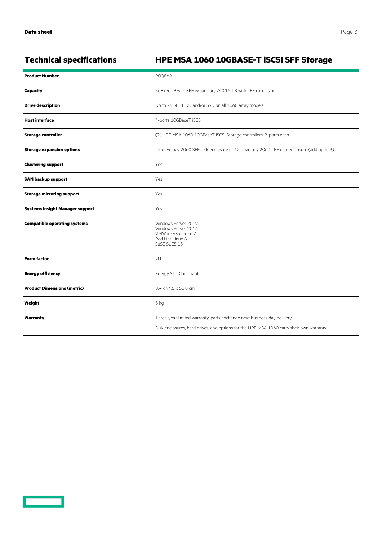<u>a sa sa</u>

# **Technical specifications HPE MSA 1060 10GBASE-T iSCSI SFF Storage**

| <b>Product Number</b>                  | <b>ROQ86A</b>                                                                                                                                                       |
|----------------------------------------|---------------------------------------------------------------------------------------------------------------------------------------------------------------------|
| Capacity                               | 368.64 TB with SFF expansion, 740.16 TB with LFF expansion                                                                                                          |
| <b>Drive description</b>               | Up to 24 SFF HDD and/or SSD on all 1060 array models                                                                                                                |
| <b>Host interface</b>                  | 4-ports 10GBaseT iSCSI                                                                                                                                              |
| <b>Storage controller</b>              | (2) HPE MSA 1060 10GBaseT iSCSI Storage controllers, 2-ports each                                                                                                   |
| <b>Storage expansion options</b>       | 24 drive bay 2060 SFF disk enclosure or 12 drive bay 2060 LFF disk enclosure (add up to 3)                                                                          |
| <b>Clustering support</b>              | Yes                                                                                                                                                                 |
| <b>SAN backup support</b>              | Yes                                                                                                                                                                 |
| <b>Storage mirroring support</b>       | Yes                                                                                                                                                                 |
| <b>Systems Insight Manager support</b> | Yes                                                                                                                                                                 |
| <b>Compatible operating systems</b>    | Windows Server 2019<br>Windows Server 2016<br>VMWare vSphere 6.7<br>Red Hat Linux 8<br>SuSE SLES 15                                                                 |
| <b>Form factor</b>                     | 2U                                                                                                                                                                  |
| <b>Energy efficiency</b>               | Energy Star Compliant                                                                                                                                               |
| <b>Product Dimensions (metric)</b>     | 8.9 x 44.5 x 50.8 cm                                                                                                                                                |
| Weight                                 | 5 kg                                                                                                                                                                |
| Warranty                               | Three-year limited warranty, parts exchange next business day delivery.<br>Disk enclosures, hard drives, and options for the HPE MSA 1060 carry their own warranty. |